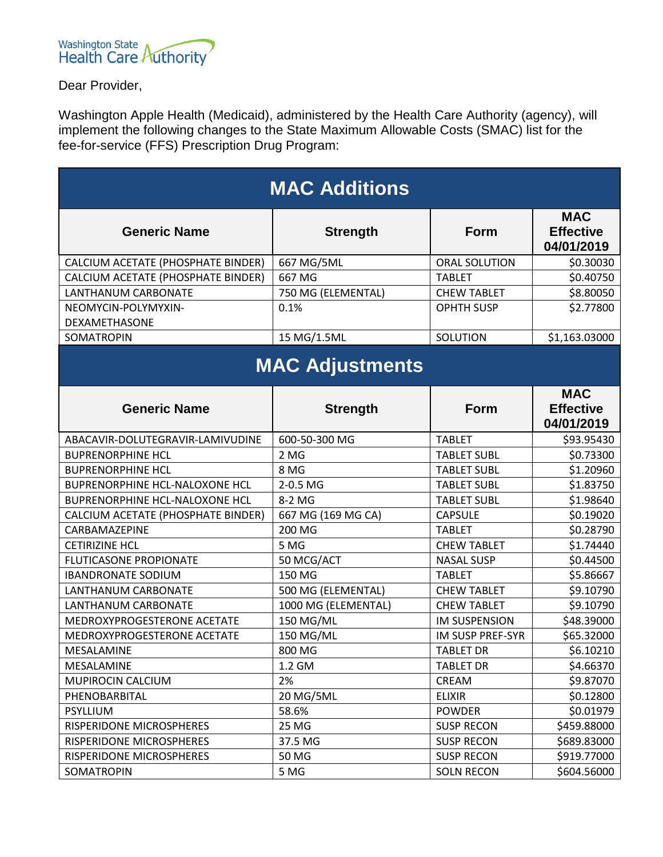

Dear Provider,

Washington Apple Health (Medicaid), administered by the Health Care Authority (agency), will implement the following changes to the State Maximum Allowable Costs (SMAC) list for the fee-for-service (FFS) Prescription Drug Program:

| <b>MAC Additions</b>                  |                     |                      |                                              |  |
|---------------------------------------|---------------------|----------------------|----------------------------------------------|--|
| <b>Generic Name</b>                   | <b>Strength</b>     | <b>Form</b>          | <b>MAC</b><br><b>Effective</b><br>04/01/2019 |  |
| CALCIUM ACETATE (PHOSPHATE BINDER)    | 667 MG/5ML          | ORAL SOLUTION        | \$0.30030                                    |  |
| CALCIUM ACETATE (PHOSPHATE BINDER)    | 667 MG              | <b>TABLET</b>        | \$0.40750                                    |  |
| LANTHANUM CARBONATE                   | 750 MG (ELEMENTAL)  | <b>CHEW TABLET</b>   | \$8.80050                                    |  |
| NEOMYCIN-POLYMYXIN-<br>DEXAMETHASONE  | 0.1%                | <b>OPHTH SUSP</b>    | \$2.77800                                    |  |
| SOMATROPIN                            | 15 MG/1.5ML         | SOLUTION             | \$1,163.03000                                |  |
| <b>MAC Adjustments</b>                |                     |                      |                                              |  |
| <b>Generic Name</b>                   | <b>Strength</b>     | Form                 | <b>MAC</b><br><b>Effective</b><br>04/01/2019 |  |
| ABACAVIR-DOLUTEGRAVIR-LAMIVUDINE      | 600-50-300 MG       | <b>TABLET</b>        | \$93.95430                                   |  |
| <b>BUPRENORPHINE HCL</b>              | 2 MG                | <b>TABLET SUBL</b>   | \$0.73300                                    |  |
| <b>BUPRENORPHINE HCL</b>              | 8 MG                | <b>TABLET SUBL</b>   | \$1.20960                                    |  |
| <b>BUPRENORPHINE HCL-NALOXONE HCL</b> | 2-0.5 MG            | <b>TABLET SUBL</b>   | \$1.83750                                    |  |
| <b>BUPRENORPHINE HCL-NALOXONE HCL</b> | 8-2 MG              | <b>TABLET SUBL</b>   | \$1.98640                                    |  |
| CALCIUM ACETATE (PHOSPHATE BINDER)    | 667 MG (169 MG CA)  | <b>CAPSULE</b>       | \$0.19020                                    |  |
| CARBAMAZEPINE                         | 200 MG              | <b>TABLET</b>        | \$0.28790                                    |  |
| <b>CETIRIZINE HCL</b>                 | 5 MG                | <b>CHEW TABLET</b>   | \$1.74440                                    |  |
| FLUTICASONE PROPIONATE                | 50 MCG/ACT          | <b>NASAL SUSP</b>    | \$0.44500                                    |  |
| <b>IBANDRONATE SODIUM</b>             | 150 MG              | <b>TABLET</b>        | \$5.86667                                    |  |
| LANTHANUM CARBONATE                   | 500 MG (ELEMENTAL)  | <b>CHEW TABLET</b>   | \$9.10790                                    |  |
| LANTHANUM CARBONATE                   | 1000 MG (ELEMENTAL) | <b>CHEW TABLET</b>   | \$9.10790                                    |  |
| MEDROXYPROGESTERONE ACETATE           | 150 MG/ML           | <b>IM SUSPENSION</b> | \$48.39000                                   |  |
| MEDROXYPROGESTERONE ACETATE           | 150 MG/ML           | IM SUSP PREF-SYR     | \$65.32000                                   |  |
| MESALAMINE                            | 800 MG              | <b>TABLET DR</b>     | \$6.10210                                    |  |
| MESALAMINE                            | 1.2 GM              | <b>TABLET DR</b>     | \$4.66370                                    |  |
| MUPIROCIN CALCIUM                     | 2%                  | <b>CREAM</b>         | \$9.87070                                    |  |
| PHENOBARBITAL                         | 20 MG/5ML           | <b>ELIXIR</b>        | \$0.12800                                    |  |
| <b>PSYLLIUM</b>                       | 58.6%               | <b>POWDER</b>        | \$0.01979                                    |  |
| RISPERIDONE MICROSPHERES              | 25 MG               | <b>SUSP RECON</b>    | \$459.88000                                  |  |
| RISPERIDONE MICROSPHERES              | 37.5 MG             | <b>SUSP RECON</b>    | \$689.83000                                  |  |
| RISPERIDONE MICROSPHERES              | 50 MG               | <b>SUSP RECON</b>    | \$919.77000                                  |  |
| SOMATROPIN                            | 5 MG                | <b>SOLN RECON</b>    | \$604.56000                                  |  |